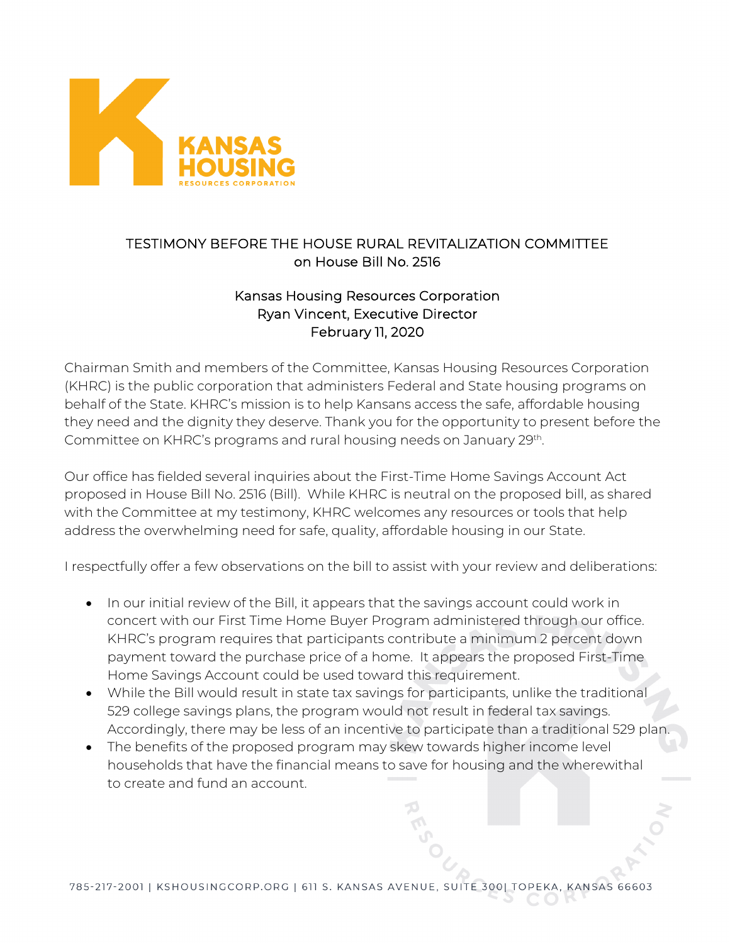

## TESTIMONY BEFORE THE HOUSE RURAL REVITALIZATION COMMITTEE on House Bill No. 2516

## Kansas Housing Resources Corporation Ryan Vincent, Executive Director February 11, 2020

Chairman Smith and members of the Committee, Kansas Housing Resources Corporation (KHRC) is the public corporation that administers Federal and State housing programs on behalf of the State. KHRC's mission is to help Kansans access the safe, affordable housing they need and the dignity they deserve. Thank you for the opportunity to present before the Committee on KHRC's programs and rural housing needs on January 29th.

Our office has fielded several inquiries about the First-Time Home Savings Account Act proposed in House Bill No. 2516 (Bill). While KHRC is neutral on the proposed bill, as shared with the Committee at my testimony, KHRC welcomes any resources or tools that help address the overwhelming need for safe, quality, affordable housing in our State.

I respectfully offer a few observations on the bill to assist with your review and deliberations:

- In our initial review of the Bill, it appears that the savings account could work in concert with our First Time Home Buyer Program administered through our office. KHRC's program requires that participants contribute a minimum 2 percent down payment toward the purchase price of a home. It appears the proposed First-Time Home Savings Account could be used toward this requirement.
- While the Bill would result in state tax savings for participants, unlike the traditional 529 college savings plans, the program would not result in federal tax savings. Accordingly, there may be less of an incentive to participate than a traditional 529 plan.
- The benefits of the proposed program may skew towards higher income level households that have the financial means to save for housing and the wherewithal to create and fund an account.

785-217-2001 | KSHOUSINGCORP.ORG | 611 S. KANSAS AVENUE, SUITE 300| TOPEKA **KANSAS 66603**